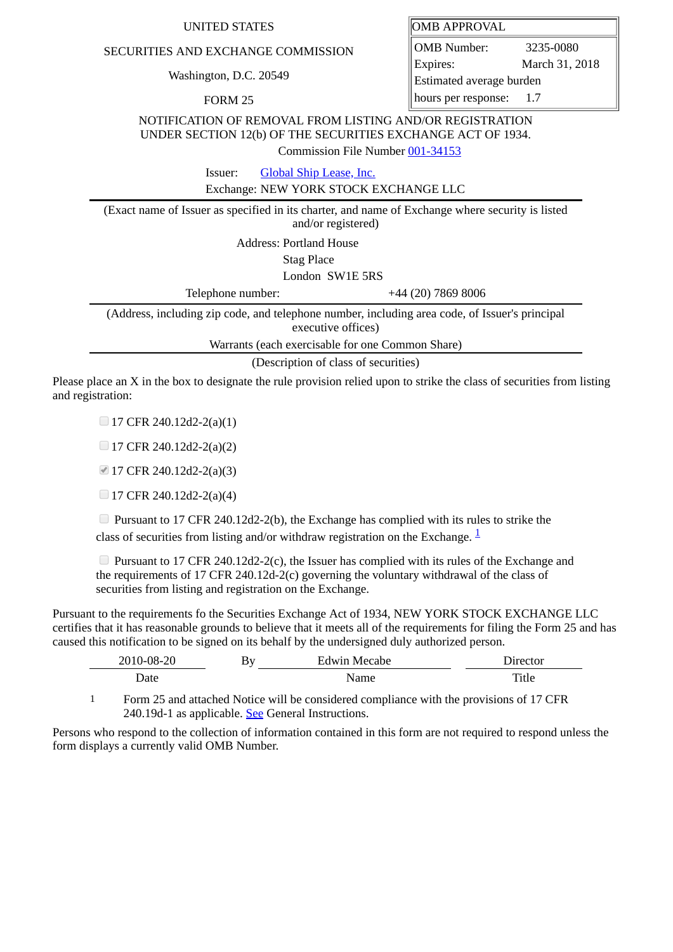## UNITED STATES

## SECURITIES AND EXCHANGE COMMISSION

Washington, D.C. 20549

FORM 25

| OMB APPROVAL |
|--------------|
|--------------|

OMB Number: 3235-0080 Expires: March 31, 2018 Estimated average burden hours per response: 1.7

NOTIFICATION OF REMOVAL FROM LISTING AND/OR REGISTRATION UNDER SECTION 12(b) OF THE SECURITIES EXCHANGE ACT OF 1934.

Commission File Number [001-34153](file:///cgi-bin/browse-edgar?action=getcompany&filenum=001-34153)

Issuer: [Global Ship Lease, Inc.](http://www.sec.gov/cgi-bin/browse-edgar?action=getcompany&CIK=1430725)

Exchange: NEW YORK STOCK EXCHANGE LLC

(Exact name of Issuer as specified in its charter, and name of Exchange where security is listed and/or registered)

Address: Portland House

Stag Place

London SW1E 5RS

Telephone number:  $+44 (20) 7869 8006$ 

(Address, including zip code, and telephone number, including area code, of Issuer's principal executive offices)

Warrants (each exercisable for one Common Share)

(Description of class of securities)

Please place an X in the box to designate the rule provision relied upon to strike the class of securities from listing and registration:

 $\Box$  17 CFR 240.12d2-2(a)(1)

 $\Box$  17 CFR 240.12d2-2(a)(2)

■ 17 CFR 240.12d2-2(a)(3)

 $\Box$  17 CFR 240.12d2-2(a)(4)

Pursuant to 17 CFR 240.12d2-2(b), the Exchange has complied with its rules to strike the class of securities from listing and/or withdraw registration on the Exchange.  $\frac{1}{2}$  $\frac{1}{2}$  $\frac{1}{2}$ 

**Pursuant to 17 CFR 240.12d2-2(c), the Issuer has complied with its rules of the Exchange and** the requirements of 17 CFR 240.12d-2(c) governing the voluntary withdrawal of the class of securities from listing and registration on the Exchange.

Pursuant to the requirements fo the Securities Exchange Act of 1934, NEW YORK STOCK EXCHANGE LLC certifies that it has reasonable grounds to believe that it meets all of the requirements for filing the Form 25 and has caused this notification to be signed on its behalf by the undersigned duly authorized person.

| 2010-08-20 | By | Edwin Mecabe | Director |
|------------|----|--------------|----------|
| Date       |    | Name         | Title    |
|            |    |              |          |

<span id="page-0-0"></span>1 Form 25 and attached Notice will be considered compliance with the provisions of 17 CFR 240.19d-1 as applicable. See General Instructions.

Persons who respond to the collection of information contained in this form are not required to respond unless the form displays a currently valid OMB Number.